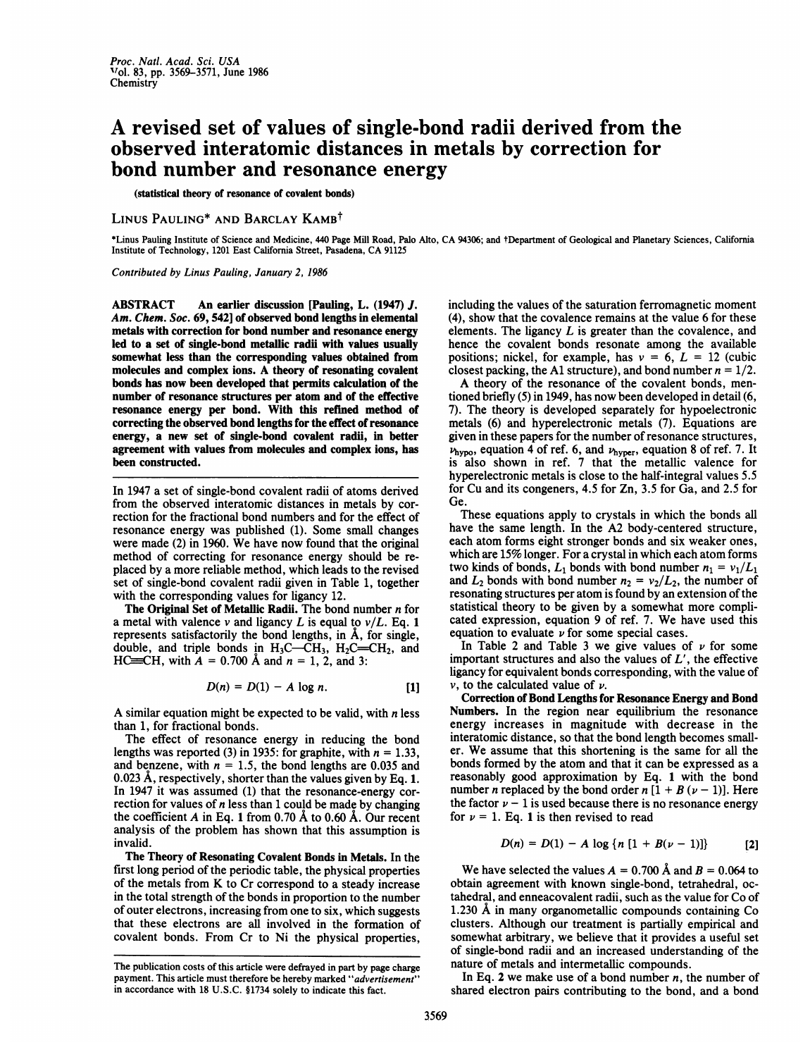## A revised set of values of single-bond radii derived from the observed interatomic distances in metals by correction for bond number and resonance energy

(statistical theory of resonance of covalent bonds)

## LINUS PAULING<sup>\*</sup> AND BARCLAY KAMB<sup>t</sup>

\*Linus Pauling Institute of Science and Medicine, <sup>440</sup> Page Mill Road, Palo Alto, CA 94306; and tDepartment of Geological and Planetary Sciences, California Institute of Technology, <sup>1201</sup> East California Street, Pasadena, CA <sup>91125</sup>

Contributed by Linus Pauling, January 2, 1986

ABSTRACT An earlier discussion [Pauling, L. (1947) J. Am. Chem. Soc. 69, 542] of observed bond lengths in elemental metals with correction for bond number and resonance energy led to a set of single-bond metallic radii with values usually somewhat less than the corresponding values obtained from molecules and complex ions. A theory of resonating covalent bonds has now been developed that permits calculation of the number of resonance structures per atom and of the effective resonance energy per bond. With this refined method of correcting the observed bond lengths for the effect of resonance energy, a new set of single-bond covalent radii, in better agreement with values from molecules and complex ions, has been constructed.

In 1947 a set of single-bond covalent radii of atoms derived from the observed interatomic distances in metals by correction for the fractional bond numbers and for the effect of resonance energy was published (1). Some small changes were made (2) in 1960. We have now found that the original method of correcting for resonance energy should be replaced by a more reliable method, which leads to the revised set of single-bond covalent radii given in Table 1, together with the corresponding values for ligancy 12.

The Original Set of Metallic Radii. The bond number n for a metal with valence  $v$  and ligancy L is equal to  $v/L$ . Eq. 1 represents satisfactorily the bond lengths, in  $\AA$ , for single, double, and triple bonds in  $H_3C$ — $CH_3$ ,  $H_2C$  =  $CH_2$ , and HC= $CH$ , with  $A = 0.700$  Å and  $n = 1, 2$ , and 3:

$$
D(n) = D(1) - A \log n. \qquad [1]
$$

A similar equation might be expected to be valid, with  $n$  less than 1, for fractional bonds.

The effect of resonance energy in reducing the bond lengths was reported (3) in 1935: for graphite, with  $n = 1.33$ , and benzene, with  $n = 1.5$ , the bond lengths are 0.035 and 0.023 A, respectively, shorter than the values given by Eq. 1. In 1947 it was assumed (1) that the resonance-energy correction for values of  $n$  less than 1 could be made by changing the coefficient A in Eq. 1 from 0.70  $\AA$  to 0.60  $\AA$ . Our recent analysis of the problem has shown that this assumption is invalid.

The Theory of Resonating Covalent Bonds in Metals. In the first long period of the periodic table, the physical properties of the metals from K to Cr correspond to <sup>a</sup> steady increase in the total strength of the bonds in proportion to the number of outer electrons, increasing from one to six, which suggests that these electrons are all involved in the formation of covalent bonds. From Cr to Ni the physical properties, including the values of the saturation ferromagnetic moment (4), show that the covalence remains at the value 6 for these elements. The ligancy  $L$  is greater than the covalence, and hence the covalent bonds resonate among the available positions; nickel, for example, has  $v = 6$ ,  $L = 12$  (cubic closest packing, the A1 structure), and bond number  $n = 1/2$ .

A theory of the resonance of the covalent bonds, mentioned briefly (5) in 1949, has now been developed in detail (6, 7). The theory is developed separately for hypoelectronic metals (6) and hyperelectronic metals (7). Equations are given in these papers for the number of resonance structures,  $\nu_{\text{hypo}}$ , equation 4 of ref. 6, and  $\nu_{\text{hyper}}$ , equation 8 of ref. 7. It is also shown in ref. 7 that the metallic valence for hyperelectronic metals is close to the half-integral values 5.5 for Cu and its congeners, 4.5 for Zn, 3.5 for Ga, and 2.5 for Ge.

These equations apply to crystals in which the bonds all have the same length. In the A2 body-centered structure, each atom forms eight stronger bonds and six weaker ones, which are 15% longer. For a crystal in which each atom forms two kinds of bonds,  $L_1$  bonds with bond number  $n_1 = v_1/L_1$ and  $L_2$  bonds with bond number  $n_2 = v_2/L_2$ , the number of resonating structures per atom is found by an extension of the statistical theory to be given by a somewhat more complicated expression, equation <sup>9</sup> of ref. 7. We have used this equation to evaluate  $\nu$  for some special cases.

In Table 2 and Table 3 we give values of  $\nu$  for some important structures and also the values of  $L'$ , the effective ligancy for equivalent bonds corresponding, with the value of  $\nu$ , to the calculated value of  $\nu$ .

Correction of Bond Lengths for Resonance Energy and Bond Numbers. In the region near equilibrium the resonance energy increases in magnitude with decrease in the interatomic distance, so that the bond length becomes smaller. We assume that this shortening is the same for all the bonds formed by the atom and that it can be expressed as a reasonably good approximation by Eq. 1 with the bond number *n* replaced by the bond order  $n [1 + B (\nu - 1)]$ . Here the factor  $\nu - 1$  is used because there is no resonance energy for  $\nu = 1$ . Eq. 1 is then revised to read

$$
D(n) = D(1) - A \log \{n [1 + B(\nu - 1)]\}
$$
 [2]

We have selected the values  $A = 0.700 \text{ Å}$  and  $B = 0.064$  to obtain agreement with known single-bond, tetrahedral, octahedral, and enneacovalent radii, such as the value for Co of 1.230 A in many organometallic compounds containing Co clusters. Although our treatment is partially empirical and somewhat arbitrary, we believe that it provides a useful set of single-bond radii and an increased understanding of the nature of metals and intermetallic compounds.

In Eq. 2 we make use of a bond number  $n$ , the number of shared electron pairs contributing to the bond, and a bond

The publication costs of this article were defrayed in part by page charge payment. This article must therefore be hereby marked "advertisement" in accordance with 18 U.S.C. §1734 solely to indicate this fact.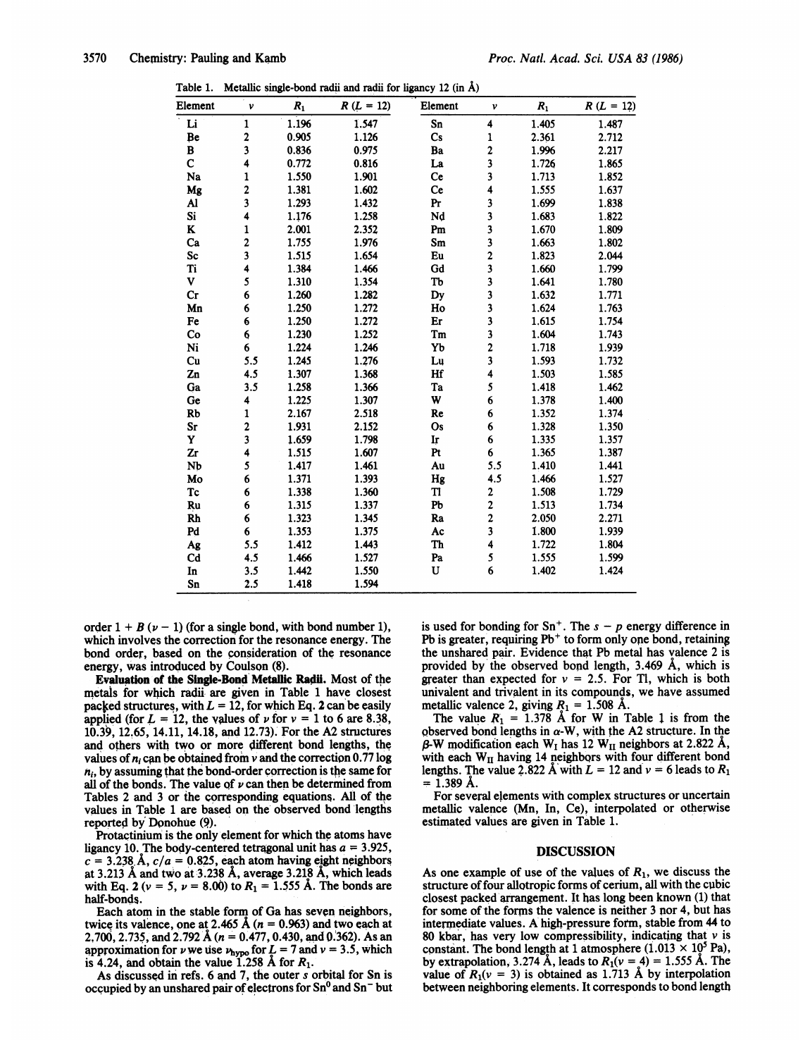Table 1. Metallic single-bond radii and radii for ligancy 12 (in  $\hat{A}$ )

| Element        | v                       | $R_1$ | $R (L = 12)$ | Element | ν                       | $\boldsymbol{R}_1$ | $R (L = 12)$ |
|----------------|-------------------------|-------|--------------|---------|-------------------------|--------------------|--------------|
| Li             | $\mathbf{1}$            | 1.196 | 1.547        | Sn      | $\overline{\mathbf{4}}$ | 1.405              | 1.487        |
| Be             | $\overline{\mathbf{c}}$ | 0.905 | 1.126        | Cs      | 1                       | 2.361              | 2.712        |
| B              | 3                       | 0.836 | 0.975        | Ba      | $\mathbf 2$             | 1.996              | 2.217        |
| $\mathbf C$    | 4                       | 0.772 | 0.816        | La      | 3                       | 1.726              | 1.865        |
| Na             | 1                       | 1.550 | 1.901        | Ce      | 3                       | 1.713              | 1.852        |
| Mg             | $\overline{\mathbf{c}}$ | 1.381 | 1.602        | Ce      | 4                       | 1.555              | 1.637        |
| Al             | 3                       | 1.293 | 1.432        | Pr      | 3                       | 1.699              | 1.838        |
| Si             | 4                       | 1.176 | 1.258        | Nd      | $\overline{\mathbf{3}}$ | 1.683              | 1.822        |
| K              | $\mathbf{1}$            | 2.001 | 2.352        | Pm      | 3                       | 1.670              | 1.809        |
| Ca             | $\overline{\mathbf{c}}$ | 1.755 | 1.976        | Sm      | 3                       | 1.663              | 1.802        |
| Sc             | $\overline{\mathbf{3}}$ | 1.515 | 1.654        | Eu      | $\overline{\mathbf{c}}$ | 1.823              | 2.044        |
| Ti             | 4                       | 1.384 | 1.466        | Gd      | $\overline{\mathbf{3}}$ | 1.660              | 1.799        |
| V              | 5                       | 1.310 | 1.354        | Tb      | $\overline{\mathbf{3}}$ | 1.641              | 1.780        |
| Cr             | 6                       | 1.260 | 1.282        | Dy      | $\overline{\mathbf{3}}$ | 1.632              | 1.771        |
| Mn             | 6                       | 1.250 | 1.272        | Ho      | 3                       | 1.624              | 1.763        |
| Fe             | 6                       | 1.250 | 1.272        | Er      | 3                       | 1.615              | 1.754        |
| Co             | 6                       | 1.230 | 1.252        | Tm      | 3                       | 1.604              | 1.743        |
| Ni             | 6                       | 1.224 | 1.246        | Yb      | $\mathbf 2$             | 1.718              | 1.939        |
| Cu             | 5.5                     | 1.245 | 1.276        | Lu      | 3                       | 1.593              | 1.732        |
| Zn             | 4.5                     | 1.307 | 1.368        | Hf      | 4                       | 1.503              | 1.585        |
| Ga             | 3.5                     | 1.258 | 1.366        | Ta      | 5                       | 1.418              | 1.462        |
| Ge             | 4                       | 1.225 | 1.307        | W       | 6                       | 1.378              | 1.400        |
| <b>Rb</b>      | $\mathbf{1}$            | 2.167 | 2.518        | Re      | 6                       | 1.352              | 1.374        |
| Sr             | $\overline{\mathbf{c}}$ | 1.931 | 2.152        | Os      | 6                       | 1.328              | 1.350        |
| Y              | 3                       | 1.659 | 1.798        | Ir      | 6                       | 1.335              | 1.357        |
| Zr             | 4                       | 1.515 | 1.607        | Pt      | 6                       | 1.365              | 1.387        |
| Nb             | 5                       | 1.417 | 1.461        | Au      | 5.5                     | 1.410              | 1.441        |
| Mo             | 6                       | 1.371 | 1.393        | Hg      | 4.5                     | 1.466              | 1.527        |
| Tc             | 6                       | 1.338 | 1.360        | Tl      | 2                       | 1.508              | 1.729        |
| Ru             | 6                       | 1.315 | 1.337        | Pb      | $\overline{\mathbf{c}}$ | 1.513              | 1.734        |
| <b>Rh</b>      | 6                       | 1.323 | 1.345        | Ra      | $\overline{\mathbf{c}}$ | 2.050              | 2.271        |
| Pd             | 6                       | 1.353 | 1.375        | Ac      | $\overline{\mathbf{3}}$ | 1.800              | 1.939        |
| Ag             | 5.5                     | 1.412 | 1.443        | Th      | 4                       | 1.722              | 1.804        |
| C <sub>d</sub> | 4.5                     | 1.466 | 1.527        | Pa      | 5                       | 1.555              | 1.599        |
| In             | 3.5                     | 1.442 | 1.550        | U       | 6                       | 1.402              | 1.424        |
| Sn             | 2.5                     | 1.418 | 1.594        |         |                         |                    |              |

order  $1 + B(\nu - 1)$  (for a single bond, with bond number 1), which involves the correction for the resonance energy. The bond order, based on the consideration of the resonance energy, was introduced by Coulson (8).

Evaluation of the Single-Bond Metallic Radii. Most of the metals for which radii are given in Table <sup>1</sup> have closest packed structures, with  $L = 12$ , for which Eq. 2 can be easily applied (for  $L = 12$ , the values of  $\nu$  for  $\nu = 1$  to 6 are 8.38, 10.39, 12.65, 14.11, 14.18, and 12.73). For the A2 structures and others with two or more different bond lengths, the values of  $n_i$  can be obtained from v and the correction 0.77 log  $n_i$ , by assuming that the bond-order correction is the same for all of the bonds. The value of  $\nu$  can then be determined from Tables 2 and 3 or the corresponding equations. All of the values in Table 1 are based on the observed bond lengths reported by Donohue (9).

Protactinium is the only element for which the atoms have ligancy 10. The body-centered tetragonal unit has  $a = 3.925$ ,  $c = 3.238$  Å,  $c/a = 0.825$ , each atom having eight neighbors at 3.213 A and two at 3.238 A, average 3.218 A, which leads with Eq. 2 ( $v = 5$ ,  $v = 8.00$ ) to  $R_1 = 1.555$  Å. The bonds are half-bonds.

Each atom in the stable form of Ga has seven neighbors, twice its valence, one at 2.465 Å ( $n = 0.963$ ) and two each at 2,700, 2.735, and 2.792 Å ( $n = 0.477$ , 0.430, and 0.362). As an approximation for  $\nu$  we use  $\nu_{\text{hypo}}$  for  $L = 7$  and  $\nu = 3.5$ , which is 4.24, and obtain the value 1.258 Å for  $R_1$ .

As discussed in refs. 6 and 7, the outer <sup>s</sup> orbital for Sn is occupied by an unshared pair of electrons for  $Sn^0$  and  $Sn^-$  but is used for bonding for  $Sn^+$ . The  $s - p$  energy difference in Pb is greater, requiring  $Pb<sup>+</sup>$  to form only one bond, retaining the unshared pair. Evidence that Pb metal has valence 2 is provided by the observed bond length, 3.469 A, which is greater than expected for  $v = 2.5$ . For Tl, which is both univalent and trivalent in its compounds, we have assumed

metallic valence 2, giving  $R_1 = 1.508$  Å.<br>The value  $R_1 = 1.378$  Å for W in Table 1 is from the observed bond lengths in  $\alpha$ -W, with the A2 structure. In the  $\beta$ -W modification each W<sub>I</sub> has 12 W<sub>II</sub> neighbors at 2.822 Å, with each  $W_{II}$  having 14 neighbors with four different bond lengths. The value 2.822 Å with  $L = 12$  and  $v = 6$  leads to  $R_1$  $= 1.389 \text{ Å}.$ 

For several elements with complex structures or uncertain metallic valence (Mn, In, Ce), interpolated or otherwise estimated values are given in Table 1.

## DISCUSSION

As one example of use of the values of  $R_1$ , we discuss the structure of four allotropic forms of cerium, all with the cubic closest packed'arrangement. It has long been known (1) that for some of the forms the valence is neither 3 nor 4, but has intermediate values. A high-pressure form, stable from 44 to 80 kbar, has very low compressibility, indicating that  $\nu$  is constant. The bond length at 1 atmosphere (1.013  $\times$  10<sup>5</sup> Pa), by extrapolation, 3.274 Å, leads to  $R_1(v = 4) = 1.555$  Å. The value of  $R_1(v = 3)$  is obtained as 1.713 Å by interpolation between neighboring elements. It corresponds to bond length